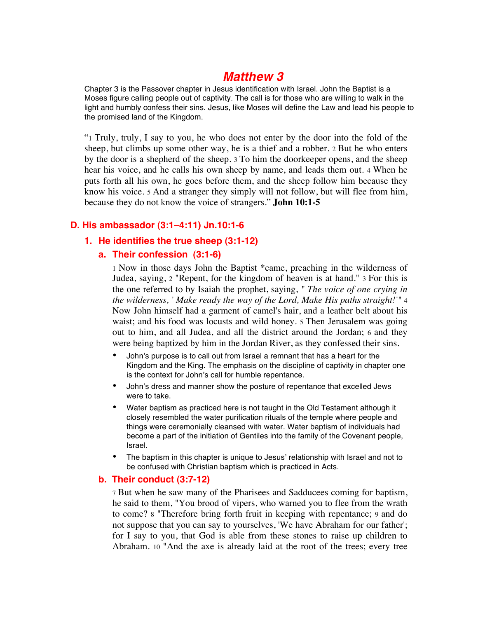# *Matthew 3*

Chapter 3 is the Passover chapter in Jesus identification with Israel. John the Baptist is a Moses figure calling people out of captivity. The call is for those who are willing to walk in the light and humbly confess their sins. Jesus, like Moses will define the Law and lead his people to the promised land of the Kingdom.

"1 Truly, truly, I say to you, he who does not enter by the door into the fold of the sheep, but climbs up some other way, he is a thief and a robber. 2 But he who enters by the door is a shepherd of the sheep. 3 To him the doorkeeper opens, and the sheep hear his voice, and he calls his own sheep by name, and leads them out. 4 When he puts forth all his own, he goes before them, and the sheep follow him because they know his voice. 5 And a stranger they simply will not follow, but will flee from him, because they do not know the voice of strangers." **John 10:1-5**

## **D. His ambassador (3:1–4:11) Jn.10:1-6**

**1. He identifies the true sheep (3:1-12)**

### **a. Their confession (3:1-6)**

1 Now in those days John the Baptist \*came, preaching in the wilderness of Judea, saying, 2 "Repent, for the kingdom of heaven is at hand." 3 For this is the one referred to by Isaiah the prophet, saying, *" The voice of one crying in the wilderness, ' Make ready the way of the Lord, Make His paths straight!'"* 4 Now John himself had a garment of camel's hair, and a leather belt about his waist; and his food was locusts and wild honey. 5 Then Jerusalem was going out to him, and all Judea, and all the district around the Jordan; 6 and they were being baptized by him in the Jordan River, as they confessed their sins.

- John's purpose is to call out from Israel a remnant that has a heart for the Kingdom and the King. The emphasis on the discipline of captivity in chapter one is the context for John's call for humble repentance.
- John's dress and manner show the posture of repentance that excelled Jews were to take.
- Water baptism as practiced here is not taught in the Old Testament although it closely resembled the water purification rituals of the temple where people and things were ceremonially cleansed with water. Water baptism of individuals had become a part of the initiation of Gentiles into the family of the Covenant people, Israel.
- The baptism in this chapter is unique to Jesus' relationship with Israel and not to be confused with Christian baptism which is practiced in Acts.

### **b. Their conduct (3:7-12)**

7 But when he saw many of the Pharisees and Sadducees coming for baptism, he said to them, "You brood of vipers, who warned you to flee from the wrath to come? 8 "Therefore bring forth fruit in keeping with repentance; 9 and do not suppose that you can say to yourselves, 'We have Abraham for our father'; for I say to you, that God is able from these stones to raise up children to Abraham. 10 "And the axe is already laid at the root of the trees; every tree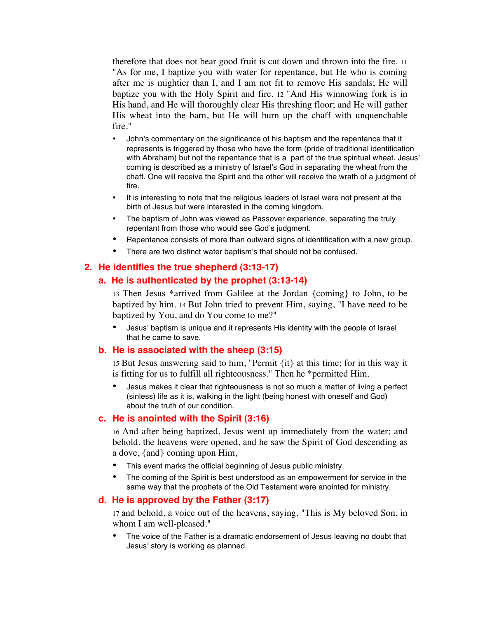therefore that does not bear good fruit is cut down and thrown into the fire. 11 "As for me, I baptize you with water for repentance, but He who is coming after me is mightier than I, and I am not fit to remove His sandals; He will baptize you with the Holy Spirit and fire. 12 "And His winnowing fork is in His hand, and He will thoroughly clear His threshing floor; and He will gather His wheat into the barn, but He will burn up the chaff with unquenchable fire."

- John's commentary on the significance of his baptism and the repentance that it represents is triggered by those who have the form (pride of traditional identification with Abraham) but not the repentance that is a part of the true spiritual wheat. Jesus' coming is described as a ministry of Israel's God in separating the wheat from the chaff. One will receive the Spirit and the other will receive the wrath of a judgment of fire.
- It is interesting to note that the religious leaders of Israel were not present at the birth of Jesus but were interested in the coming kingdom.
- The baptism of John was viewed as Passover experience, separating the truly repentant from those who would see God's judgment.
- Repentance consists of more than outward signs of identification with a new group.
- There are two distinct water baptism's that should not be confused.

### **2. He identifies the true shepherd (3:13-17)**

#### **a. He is authenticated by the prophet (3:13-14)**

13 Then Jesus \*arrived from Galilee at the Jordan {coming} to John, to be baptized by him. 14 But John tried to prevent Him, saying, "I have need to be baptized by You, and do You come to me?"

• Jesus' baptism is unique and it represents His identity with the people of Israel that he came to save.

#### **b. He is associated with the sheep (3:15)**

15 But Jesus answering said to him, "Permit {it} at this time; for in this way it is fitting for us to fulfill all righteousness." Then he \*permitted Him.

• Jesus makes it clear that righteousness is not so much a matter of living a perfect (sinless) life as it is, walking in the light (being honest with oneself and God) about the truth of our condition.

#### **c. He is anointed with the Spirit (3:16)**

16 And after being baptized, Jesus went up immediately from the water; and behold, the heavens were opened, and he saw the Spirit of God descending as a dove, {and} coming upon Him,

- This event marks the official beginning of Jesus public ministry.
- The coming of the Spirit is best understood as an empowerment for service in the same way that the prophets of the Old Testament were anointed for ministry.

#### **d. He is approved by the Father (3:17)**

17 and behold, a voice out of the heavens, saying, "This is My beloved Son, in whom I am well-pleased."

The voice of the Father is a dramatic endorsement of Jesus leaving no doubt that Jesus' story is working as planned.